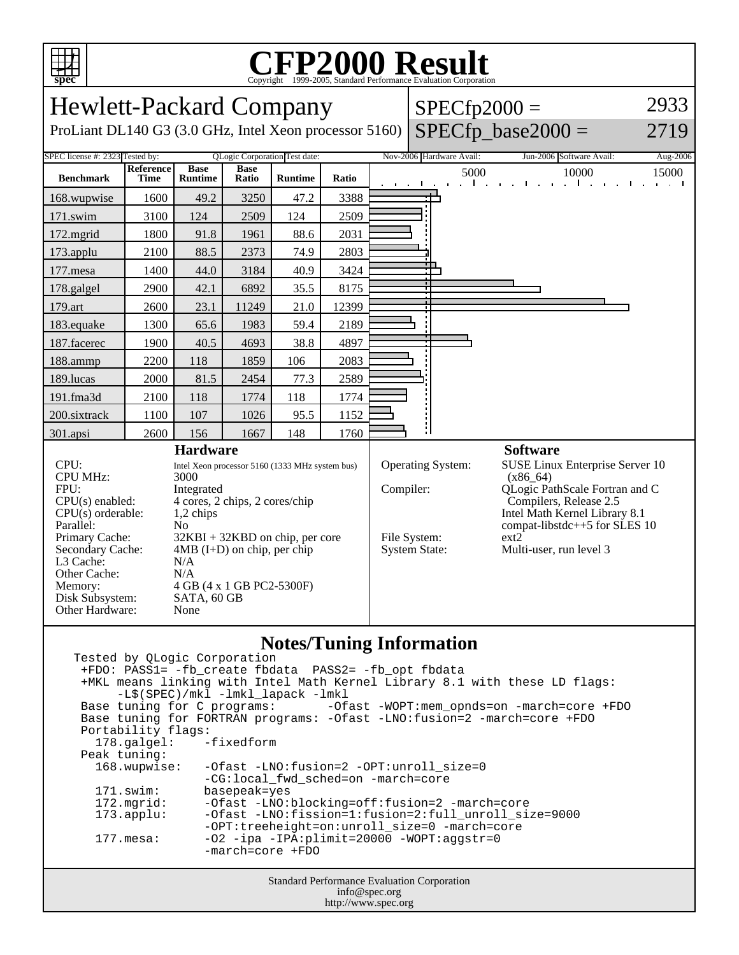

## C<sub>opyright</sub> ©1999-2005, Standard Performance Evaluation Corporation

| <b>Hewlett-Packard Company</b>                                                          |                          |                               |                      |                               |                                                         | $SPECfp2000 =$                                |                                | 2933                                                     |          |
|-----------------------------------------------------------------------------------------|--------------------------|-------------------------------|----------------------|-------------------------------|---------------------------------------------------------|-----------------------------------------------|--------------------------------|----------------------------------------------------------|----------|
| ProLiant DL140 G3 (3.0 GHz, Intel Xeon processor 5160)                                  |                          |                               |                      |                               |                                                         | $SPECfp\_base2000 =$                          | 2719                           |                                                          |          |
| SPEC license #: 2323 Tested by:                                                         |                          |                               |                      | QLogic Corporation Test date: |                                                         |                                               | Nov-2006 Hardware Avail:       | Jun-2006 Software Avail:                                 | Aug-2006 |
| <b>Benchmark</b>                                                                        | Reference<br><b>Time</b> | <b>Base</b><br><b>Runtime</b> | <b>Base</b><br>Ratio | <b>Runtime</b>                | Ratio                                                   |                                               | 5000<br>and a straight and the | 10000<br>and a straight and the contract of the state of | 15000    |
| 168.wupwise                                                                             | 1600                     | 49.2                          | 3250                 | 47.2                          | 3388                                                    |                                               |                                |                                                          |          |
| 171.swim                                                                                | 3100                     | 124                           | 2509                 | 124                           | 2509                                                    |                                               |                                |                                                          |          |
| 172.mgrid                                                                               | 1800                     | 91.8                          | 1961                 | 88.6                          | 2031                                                    |                                               |                                |                                                          |          |
| 173.applu                                                                               | 2100                     | 88.5                          | 2373                 | 74.9                          | 2803                                                    |                                               |                                |                                                          |          |
| 177.mesa                                                                                | 1400                     | 44.0                          | 3184                 | 40.9                          | 3424                                                    |                                               |                                |                                                          |          |
| 178.galgel                                                                              | 2900                     | 42.1                          | 6892                 | 35.5                          | 8175                                                    |                                               |                                |                                                          |          |
| 179.art                                                                                 | 2600                     | 23.1                          | 11249                | 21.0                          | 12399                                                   |                                               |                                |                                                          |          |
| 183.equake                                                                              | 1300                     | 65.6                          | 1983                 | 59.4                          | 2189                                                    |                                               |                                |                                                          |          |
| 187.facerec                                                                             | 1900                     | 40.5                          | 4693                 | 38.8                          | 4897                                                    |                                               |                                |                                                          |          |
| 188.ammp                                                                                | 2200                     | 118                           | 1859                 | 106                           | 2083                                                    |                                               |                                |                                                          |          |
| 189.lucas                                                                               | 2000                     | 81.5                          | 2454                 | 77.3                          | 2589                                                    |                                               |                                |                                                          |          |
| 191.fma3d                                                                               | 2100                     | 118                           | 1774                 | 118                           | 1774                                                    |                                               |                                |                                                          |          |
| 200.sixtrack                                                                            | 1100                     | 107                           | 1026                 | 95.5                          | 1152                                                    |                                               |                                |                                                          |          |
| 301.apsi                                                                                | 2600                     | 156                           | 1667                 | 148                           | 1760                                                    |                                               |                                |                                                          |          |
| <b>Hardware</b>                                                                         |                          |                               |                      |                               |                                                         |                                               | <b>Software</b>                |                                                          |          |
| CPU:<br>Intel Xeon processor 5160 (1333 MHz system bus)<br><b>CPU MHz:</b><br>3000      |                          |                               |                      | Operating System:             |                                                         | SUSE Linux Enterprise Server 10<br>$(x86_64)$ |                                |                                                          |          |
| FPU:<br>Integrated                                                                      |                          |                               | Compiler:            |                               | QLogic PathScale Fortran and C                          |                                               |                                |                                                          |          |
| 4 cores, 2 chips, 2 cores/chip<br>$CPU(s)$ enabled:<br>$CPU(s)$ orderable:<br>1,2 chips |                          |                               |                      |                               | Compilers, Release 2.5<br>Intel Math Kernel Library 8.1 |                                               |                                |                                                          |          |
| Parallel:<br>No                                                                         |                          |                               |                      |                               | compat-libstdc++5 for SLES $10$                         |                                               |                                |                                                          |          |
| $32KBI + 32KBD$ on chip, per core<br>Primary Cache:                                     |                          |                               |                      | File System:                  |                                                         | ext2                                          |                                |                                                          |          |
| Secondary Cache:<br>L3 Cache:                                                           |                          | $4MB$ (I+D) on chip, per chip |                      |                               |                                                         |                                               | <b>System State:</b>           | Multi-user, run level 3                                  |          |
| Other Cache:                                                                            |                          | N/A<br>N/A                    |                      |                               |                                                         |                                               |                                |                                                          |          |
| 4 GB (4 x 1 GB PC2-5300F)<br>Memory:                                                    |                          |                               |                      |                               |                                                         |                                               |                                |                                                          |          |
| Disk Subsystem:<br>SATA, 60 GB<br>Other Hardware:<br>None                               |                          |                               |                      |                               |                                                         |                                               |                                |                                                          |          |
|                                                                                         |                          |                               |                      |                               |                                                         |                                               |                                |                                                          |          |
|                                                                                         |                          |                               |                      |                               |                                                         |                                               |                                |                                                          |          |

## **Notes/Tuning Information**

Standard Performance Evaluation Corporation Tested by QLogic Corporation +FDO: PASS1= -fb\_create fbdata PASS2= -fb\_opt fbdata +MKL means linking with Intel Math Kernel Library 8.1 with these LD flags: -L\$(SPEC)/mkl -lmkl\_lapack -lmkl<br>Base tuning for C programs: -0fa -Ofast -WOPT:mem\_opnds=on -march=core +FDO Base tuning for FORTRAN programs: -Ofast -LNO:fusion=2 -march=core +FDO Portability flags:<br>178.galgel: -fixedform  $178.galgel:$  Peak tuning: 168.wupwise: -Ofast -LNO:fusion=2 -OPT:unroll\_size=0 -CG:local\_fwd\_sched=on -march=core 171.swim: basepeak=yes<br>172.mgrid: -Ofast -LNO: 172.mgrid: -Ofast -LNO:blocking=off:fusion=2 -march=core<br>173.applu: -Ofast -LNO:fission=1:fusion=2:full\_unroll\_si: -Ofast -LNO:fission=1:fusion=2:full\_unroll\_size=9000 -OPT:treeheight=on:unroll\_size=0 -march=core 177.mesa: -O2 -ipa -IPA:plimit=20000 -WOPT:aggstr=0 -march=core +FDO

| info@spec.org       |  |
|---------------------|--|
| http://www.spec.org |  |